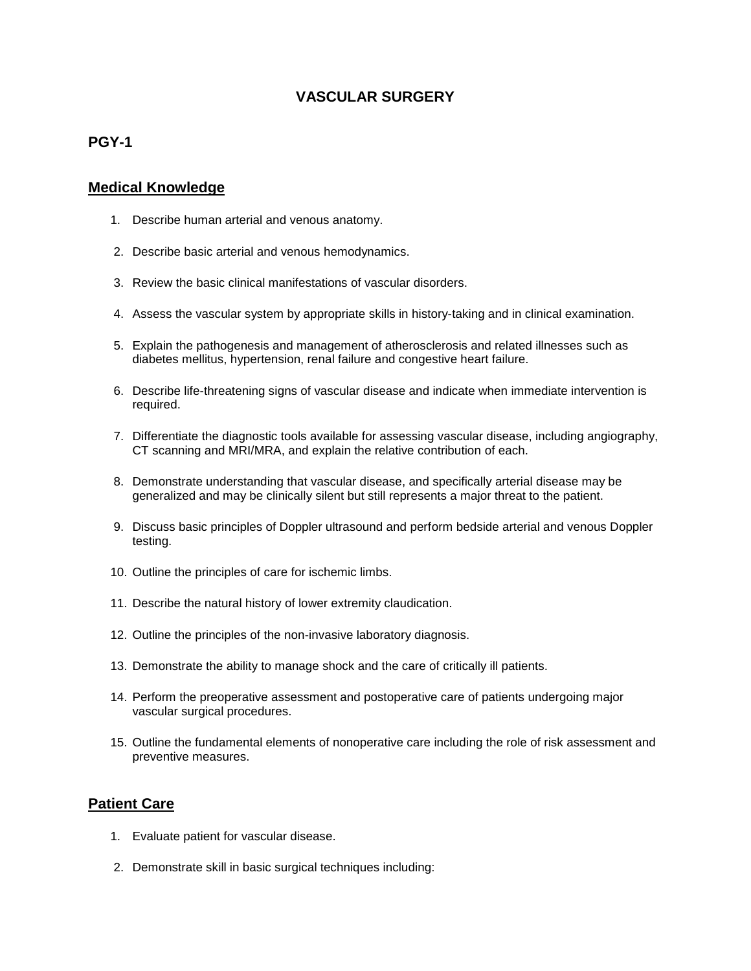# **VASCULAR SURGERY**

## **PGY-1**

## **Medical Knowledge**

- 1. Describe human arterial and venous anatomy.
- 2. Describe basic arterial and venous hemodynamics.
- 3. Review the basic clinical manifestations of vascular disorders.
- 4. Assess the vascular system by appropriate skills in history-taking and in clinical examination.
- 5. Explain the pathogenesis and management of atherosclerosis and related illnesses such as diabetes mellitus, hypertension, renal failure and congestive heart failure.
- 6. Describe life-threatening signs of vascular disease and indicate when immediate intervention is required.
- 7. Differentiate the diagnostic tools available for assessing vascular disease, including angiography, CT scanning and MRI/MRA, and explain the relative contribution of each.
- 8. Demonstrate understanding that vascular disease, and specifically arterial disease may be generalized and may be clinically silent but still represents a major threat to the patient.
- 9. Discuss basic principles of Doppler ultrasound and perform bedside arterial and venous Doppler testing.
- 10. Outline the principles of care for ischemic limbs.
- 11. Describe the natural history of lower extremity claudication.
- 12. Outline the principles of the non-invasive laboratory diagnosis.
- 13. Demonstrate the ability to manage shock and the care of critically ill patients.
- 14. Perform the preoperative assessment and postoperative care of patients undergoing major vascular surgical procedures.
- 15. Outline the fundamental elements of nonoperative care including the role of risk assessment and preventive measures.

# **Patient Care**

- 1. Evaluate patient for vascular disease.
- 2. Demonstrate skill in basic surgical techniques including: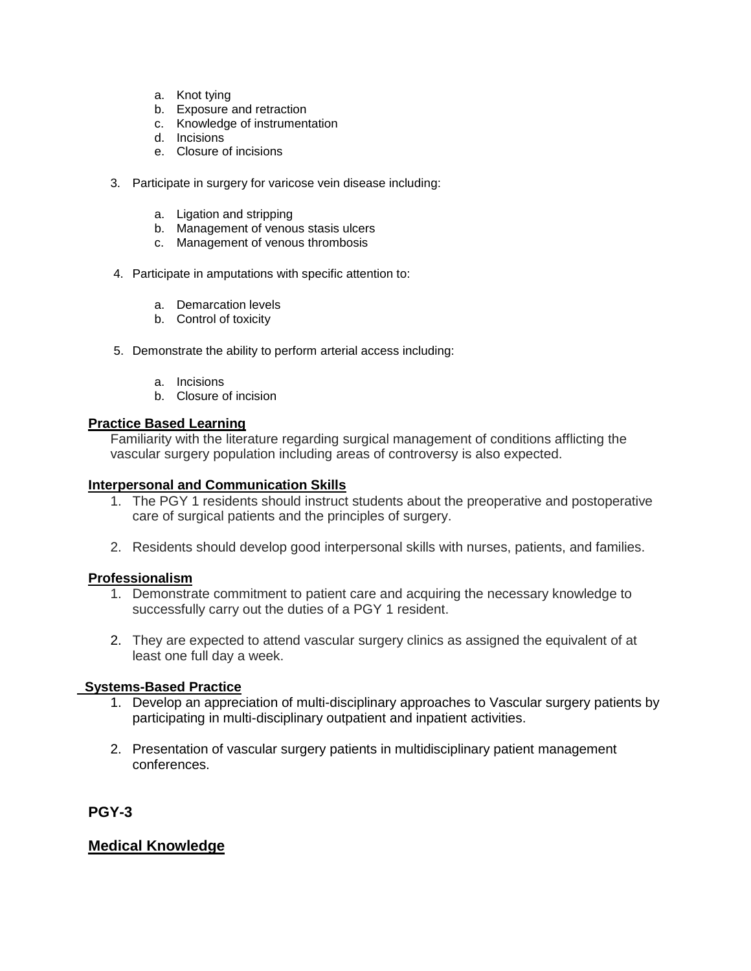- a. Knot tying
- b. Exposure and retraction
- c. Knowledge of instrumentation
- d. Incisions
- e. Closure of incisions
- 3. Participate in surgery for varicose vein disease including:
	- a. Ligation and stripping
	- b. Management of venous stasis ulcers
	- c. Management of venous thrombosis
- 4. Participate in amputations with specific attention to:
	- a. Demarcation levels
	- b. Control of toxicity
- 5. Demonstrate the ability to perform arterial access including:
	- a. Incisions
	- b. Closure of incision

### **Practice Based Learning**

Familiarity with the literature regarding surgical management of conditions afflicting the vascular surgery population including areas of controversy is also expected.

### **Interpersonal and Communication Skills**

- 1. The PGY 1 residents should instruct students about the preoperative and postoperative care of surgical patients and the principles of surgery.
- 2. Residents should develop good interpersonal skills with nurses, patients, and families.

### **Professionalism**

- 1. Demonstrate commitment to patient care and acquiring the necessary knowledge to successfully carry out the duties of a PGY 1 resident.
- 2. They are expected to attend vascular surgery clinics as assigned the equivalent of at least one full day a week.

### **Systems-Based Practice**

- 1. Develop an appreciation of multi-disciplinary approaches to Vascular surgery patients by participating in multi-disciplinary outpatient and inpatient activities.
- 2. Presentation of vascular surgery patients in multidisciplinary patient management conferences.

**PGY-3**

# **Medical Knowledge**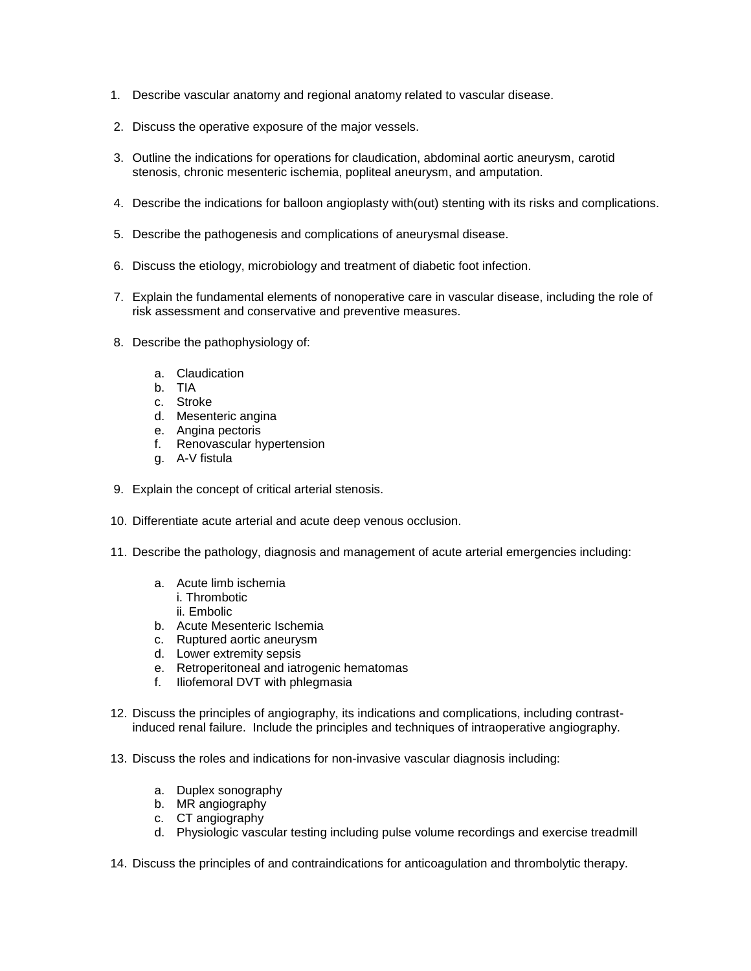- 1. Describe vascular anatomy and regional anatomy related to vascular disease.
- 2. Discuss the operative exposure of the major vessels.
- 3. Outline the indications for operations for claudication, abdominal aortic aneurysm, carotid stenosis, chronic mesenteric ischemia, popliteal aneurysm, and amputation.
- 4. Describe the indications for balloon angioplasty with(out) stenting with its risks and complications.
- 5. Describe the pathogenesis and complications of aneurysmal disease.
- 6. Discuss the etiology, microbiology and treatment of diabetic foot infection.
- 7. Explain the fundamental elements of nonoperative care in vascular disease, including the role of risk assessment and conservative and preventive measures.
- 8. Describe the pathophysiology of:
	- a. Claudication
	- b. TIA
	- c. Stroke
	- d. Mesenteric angina
	- e. Angina pectoris
	- f. Renovascular hypertension
	- g. A-V fistula
- 9. Explain the concept of critical arterial stenosis.
- 10. Differentiate acute arterial and acute deep venous occlusion.
- 11. Describe the pathology, diagnosis and management of acute arterial emergencies including:
	- a. Acute limb ischemia
		- i. Thrombotic
		- ii. Embolic
	- b. Acute Mesenteric Ischemia
	- c. Ruptured aortic aneurysm
	- d. Lower extremity sepsis
	- e. Retroperitoneal and iatrogenic hematomas
	- f. Iliofemoral DVT with phlegmasia
- 12. Discuss the principles of angiography, its indications and complications, including contrastinduced renal failure. Include the principles and techniques of intraoperative angiography.
- 13. Discuss the roles and indications for non-invasive vascular diagnosis including:
	- a. Duplex sonography
	- b. MR angiography
	- c. CT angiography
	- d. Physiologic vascular testing including pulse volume recordings and exercise treadmill
- 14. Discuss the principles of and contraindications for anticoagulation and thrombolytic therapy.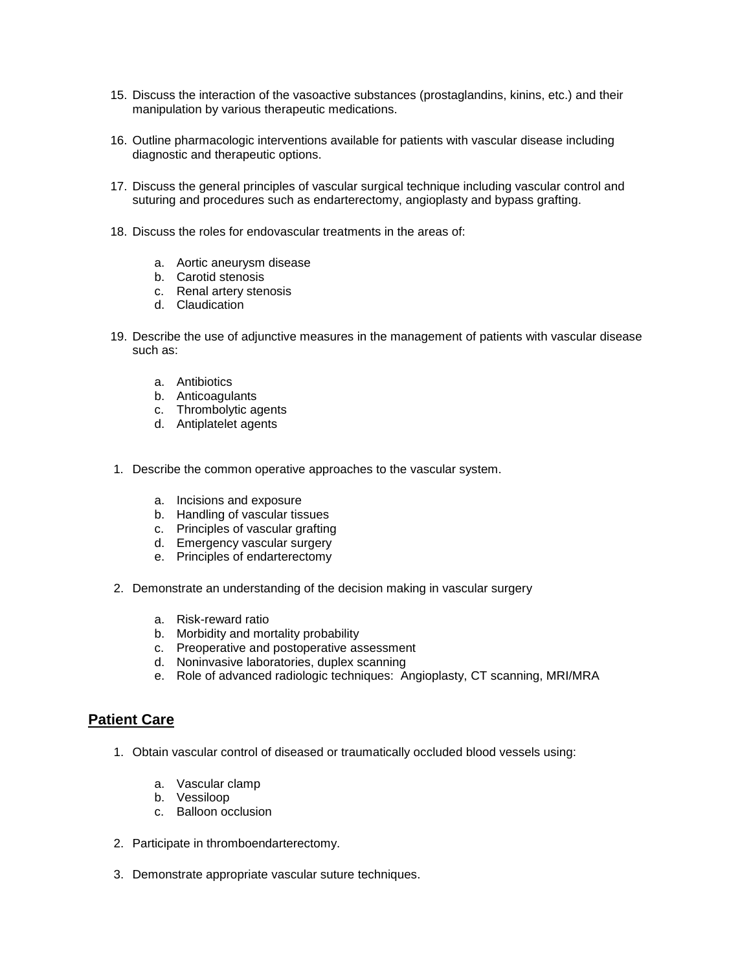- 15. Discuss the interaction of the vasoactive substances (prostaglandins, kinins, etc.) and their manipulation by various therapeutic medications.
- 16. Outline pharmacologic interventions available for patients with vascular disease including diagnostic and therapeutic options.
- 17. Discuss the general principles of vascular surgical technique including vascular control and suturing and procedures such as endarterectomy, angioplasty and bypass grafting.
- 18. Discuss the roles for endovascular treatments in the areas of:
	- a. Aortic aneurysm disease
	- b. Carotid stenosis
	- c. Renal artery stenosis
	- d. Claudication
- 19. Describe the use of adjunctive measures in the management of patients with vascular disease such as:
	- a. Antibiotics
	- b. Anticoagulants
	- c. Thrombolytic agents
	- d. Antiplatelet agents
- 1. Describe the common operative approaches to the vascular system.
	- a. Incisions and exposure
	- b. Handling of vascular tissues
	- c. Principles of vascular grafting
	- d. Emergency vascular surgery
	- e. Principles of endarterectomy
- 2. Demonstrate an understanding of the decision making in vascular surgery
	- a. Risk-reward ratio
	- b. Morbidity and mortality probability
	- c. Preoperative and postoperative assessment
	- d. Noninvasive laboratories, duplex scanning
	- e. Role of advanced radiologic techniques: Angioplasty, CT scanning, MRI/MRA

### **Patient Care**

- 1. Obtain vascular control of diseased or traumatically occluded blood vessels using:
	- a. Vascular clamp
	- b. Vessiloop
	- c. Balloon occlusion
- 2. Participate in thromboendarterectomy.
- 3. Demonstrate appropriate vascular suture techniques.